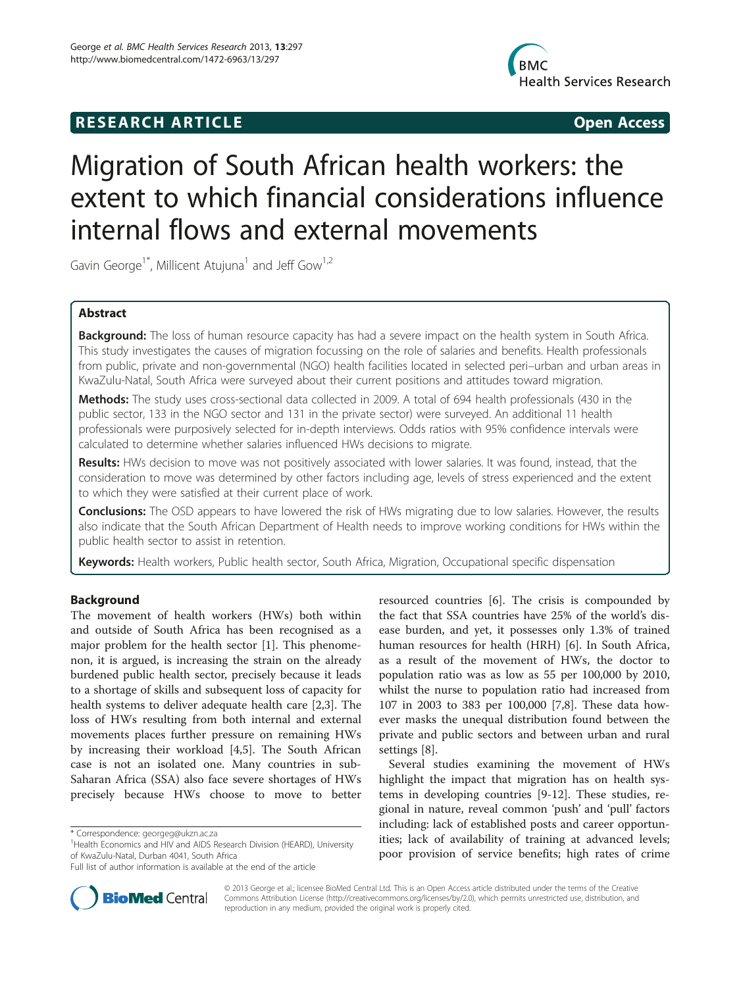# **RESEARCH ARTICLE Example 2018 12:00 Open Access**



# Migration of South African health workers: the extent to which financial considerations influence internal flows and external movements

Gavin George<sup>1\*</sup>, Millicent Atujuna<sup>1</sup> and Jeff Gow<sup>1,2</sup>

# Abstract

Background: The loss of human resource capacity has had a severe impact on the health system in South Africa. This study investigates the causes of migration focussing on the role of salaries and benefits. Health professionals from public, private and non-governmental (NGO) health facilities located in selected peri–urban and urban areas in KwaZulu-Natal, South Africa were surveyed about their current positions and attitudes toward migration.

Methods: The study uses cross-sectional data collected in 2009. A total of 694 health professionals (430 in the public sector, 133 in the NGO sector and 131 in the private sector) were surveyed. An additional 11 health professionals were purposively selected for in-depth interviews. Odds ratios with 95% confidence intervals were calculated to determine whether salaries influenced HWs decisions to migrate.

Results: HWs decision to move was not positively associated with lower salaries. It was found, instead, that the consideration to move was determined by other factors including age, levels of stress experienced and the extent to which they were satisfied at their current place of work.

Conclusions: The OSD appears to have lowered the risk of HWs migrating due to low salaries. However, the results also indicate that the South African Department of Health needs to improve working conditions for HWs within the public health sector to assist in retention.

Keywords: Health workers, Public health sector, South Africa, Migration, Occupational specific dispensation

# Background

The movement of health workers (HWs) both within and outside of South Africa has been recognised as a major problem for the health sector [[1](#page-7-0)]. This phenomenon, it is argued, is increasing the strain on the already burdened public health sector, precisely because it leads to a shortage of skills and subsequent loss of capacity for health systems to deliver adequate health care [[2,3\]](#page-7-0). The loss of HWs resulting from both internal and external movements places further pressure on remaining HWs by increasing their workload [[4,5\]](#page-7-0). The South African case is not an isolated one. Many countries in sub-Saharan Africa (SSA) also face severe shortages of HWs precisely because HWs choose to move to better



Several studies examining the movement of HWs highlight the impact that migration has on health systems in developing countries [\[9](#page-7-0)-[12](#page-7-0)]. These studies, regional in nature, reveal common 'push' and 'pull' factors including: lack of established posts and career opportunities; lack of availability of training at advanced levels; poor provision of service benefits; high rates of crime



© 2013 George et al.; licensee BioMed Central Ltd. This is an Open Access article distributed under the terms of the Creative Commons Attribution License [\(http://creativecommons.org/licenses/by/2.0\)](http://creativecommons.org/licenses/by/2.0), which permits unrestricted use, distribution, and reproduction in any medium, provided the original work is properly cited.

<sup>\*</sup> Correspondence: [georgeg@ukzn.ac.za](mailto:georgeg@ukzn.ac.za) <sup>1</sup>

<sup>&</sup>lt;sup>1</sup> Health Economics and HIV and AIDS Research Division (HEARD), University of KwaZulu-Natal, Durban 4041, South Africa

Full list of author information is available at the end of the article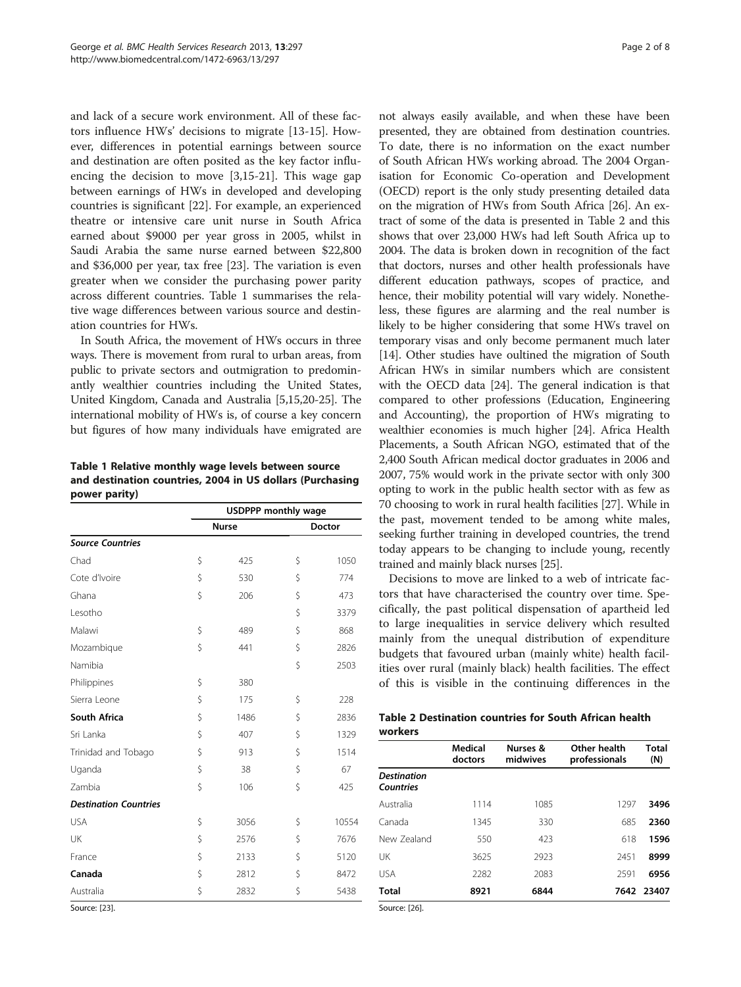and lack of a secure work environment. All of these factors influence HWs' decisions to migrate [\[13](#page-7-0)-[15](#page-7-0)]. However, differences in potential earnings between source and destination are often posited as the key factor influencing the decision to move [[3,15-21\]](#page-7-0). This wage gap between earnings of HWs in developed and developing countries is significant [[22\]](#page-7-0). For example, an experienced theatre or intensive care unit nurse in South Africa earned about \$9000 per year gross in 2005, whilst in Saudi Arabia the same nurse earned between \$22,800 and \$36,000 per year, tax free [\[23](#page-7-0)]. The variation is even greater when we consider the purchasing power parity across different countries. Table 1 summarises the relative wage differences between various source and destination countries for HWs.

In South Africa, the movement of HWs occurs in three ways. There is movement from rural to urban areas, from public to private sectors and outmigration to predominantly wealthier countries including the United States, United Kingdom, Canada and Australia [[5,15,20-25\]](#page-7-0). The international mobility of HWs is, of course a key concern but figures of how many individuals have emigrated are

Table 1 Relative monthly wage levels between source and destination countries, 2004 in US dollars (Purchasing power parity)

|                              | <b>USDPPP monthly wage</b> |              |    |        |
|------------------------------|----------------------------|--------------|----|--------|
|                              |                            | <b>Nurse</b> |    | Doctor |
| <b>Source Countries</b>      |                            |              |    |        |
| Chad                         | \$                         | 425          | \$ | 1050   |
| Cote d'Ivoire                | \$                         | 530          | \$ | 774    |
| Ghana                        | \$                         | 206          | \$ | 473    |
| Lesotho                      |                            |              | \$ | 3379   |
| Malawi                       | \$                         | 489          | \$ | 868    |
| Mozambique                   | \$                         | 441          | \$ | 2826   |
| Namibia                      |                            |              | \$ | 2503   |
| Philippines                  | \$                         | 380          |    |        |
| Sierra Leone                 | \$                         | 175          | \$ | 228    |
| <b>South Africa</b>          | \$                         | 1486         | \$ | 2836   |
| Sri Lanka                    | \$                         | 407          | \$ | 1329   |
| Trinidad and Tobago          | \$                         | 913          | \$ | 1514   |
| Uganda                       | \$                         | 38           | \$ | 67     |
| Zambia                       | Ś                          | 106          | \$ | 425    |
| <b>Destination Countries</b> |                            |              |    |        |
| <b>USA</b>                   | \$                         | 3056         | \$ | 10554  |
| UK                           | \$                         | 2576         | \$ | 7676   |
| France                       | Ś                          | 2133         | \$ | 5120   |
| Canada                       | \$                         | 2812         | \$ | 8472   |
| Australia                    | \$                         | 2832         | \$ | 5438   |
| $SQ$ urca: [23]              |                            |              |    |        |

not always easily available, and when these have been presented, they are obtained from destination countries. To date, there is no information on the exact number of South African HWs working abroad. The 2004 Organisation for Economic Co-operation and Development (OECD) report is the only study presenting detailed data on the migration of HWs from South Africa [\[26\]](#page-7-0). An extract of some of the data is presented in Table 2 and this shows that over 23,000 HWs had left South Africa up to 2004. The data is broken down in recognition of the fact that doctors, nurses and other health professionals have different education pathways, scopes of practice, and hence, their mobility potential will vary widely. Nonetheless, these figures are alarming and the real number is likely to be higher considering that some HWs travel on temporary visas and only become permanent much later [[14](#page-7-0)]. Other studies have oultined the migration of South African HWs in similar numbers which are consistent with the OECD data [\[24\]](#page-7-0). The general indication is that compared to other professions (Education, Engineering and Accounting), the proportion of HWs migrating to wealthier economies is much higher [[24](#page-7-0)]. Africa Health Placements, a South African NGO, estimated that of the 2,400 South African medical doctor graduates in 2006 and 2007, 75% would work in the private sector with only 300 opting to work in the public health sector with as few as 70 choosing to work in rural health facilities [\[27](#page-7-0)]. While in the past, movement tended to be among white males, seeking further training in developed countries, the trend today appears to be changing to include young, recently trained and mainly black nurses [\[25](#page-7-0)].

Decisions to move are linked to a web of intricate factors that have characterised the country over time. Specifically, the past political dispensation of apartheid led to large inequalities in service delivery which resulted mainly from the unequal distribution of expenditure budgets that favoured urban (mainly white) health facilities over rural (mainly black) health facilities. The effect of this is visible in the continuing differences in the

| Table 2 Destination countries for South African health |  |  |  |
|--------------------------------------------------------|--|--|--|
| workers                                                |  |  |  |

| doctors | Nurses &<br>midwives | Other health<br>professionals | Total<br>(N) |  |
|---------|----------------------|-------------------------------|--------------|--|
|         |                      |                               |              |  |
| 1114    | 1085                 | 1297                          | 3496         |  |
| 1345    | 330                  | 685                           | 2360         |  |
| 550     | 423                  | 618                           | 1596         |  |
| 3625    | 2923                 | 2451                          | 8999         |  |
| 2282    | 2083                 | 2591                          | 6956         |  |
| 8921    | 6844                 |                               | 7642 23407   |  |
|         |                      |                               |              |  |

Source: [\[26](#page-7-0)].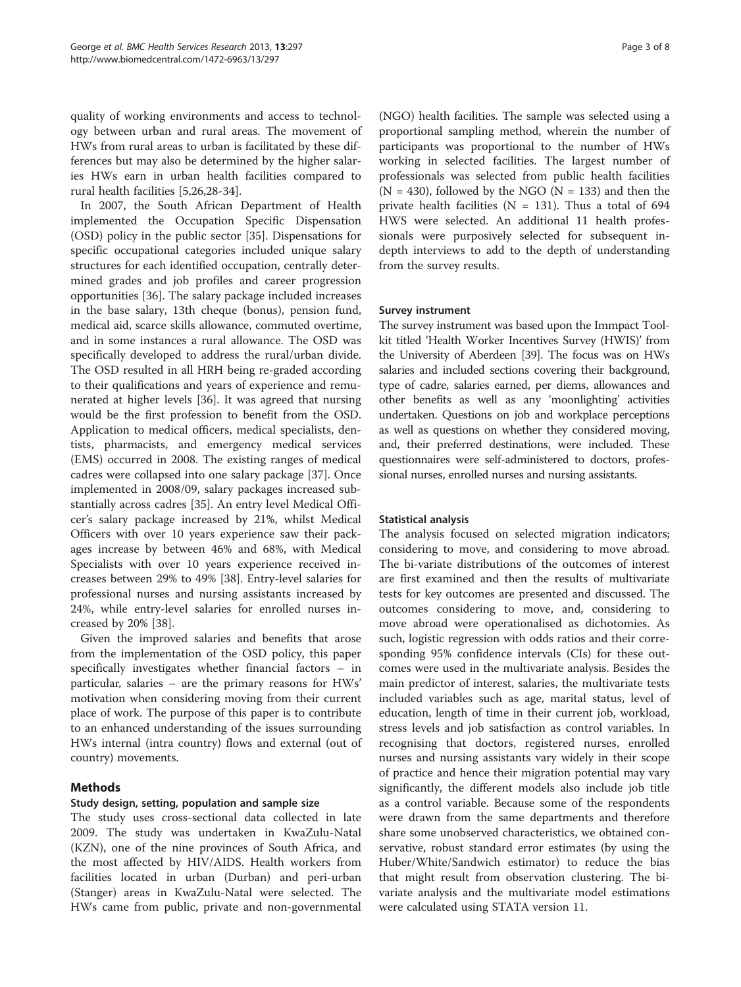quality of working environments and access to technology between urban and rural areas. The movement of HWs from rural areas to urban is facilitated by these differences but may also be determined by the higher salaries HWs earn in urban health facilities compared to rural health facilities [[5,26,28-34\]](#page-7-0).

In 2007, the South African Department of Health implemented the Occupation Specific Dispensation (OSD) policy in the public sector [\[35](#page-7-0)]. Dispensations for specific occupational categories included unique salary structures for each identified occupation, centrally determined grades and job profiles and career progression opportunities [\[36](#page-7-0)]. The salary package included increases in the base salary, 13th cheque (bonus), pension fund, medical aid, scarce skills allowance, commuted overtime, and in some instances a rural allowance. The OSD was specifically developed to address the rural/urban divide. The OSD resulted in all HRH being re-graded according to their qualifications and years of experience and remunerated at higher levels [\[36](#page-7-0)]. It was agreed that nursing would be the first profession to benefit from the OSD. Application to medical officers, medical specialists, dentists, pharmacists, and emergency medical services (EMS) occurred in 2008. The existing ranges of medical cadres were collapsed into one salary package [[37](#page-7-0)]. Once implemented in 2008/09, salary packages increased substantially across cadres [\[35](#page-7-0)]. An entry level Medical Officer's salary package increased by 21%, whilst Medical Officers with over 10 years experience saw their packages increase by between 46% and 68%, with Medical Specialists with over 10 years experience received increases between 29% to 49% [\[38](#page-7-0)]. Entry-level salaries for professional nurses and nursing assistants increased by 24%, while entry-level salaries for enrolled nurses increased by 20% [\[38](#page-7-0)].

Given the improved salaries and benefits that arose from the implementation of the OSD policy, this paper specifically investigates whether financial factors – in particular, salaries – are the primary reasons for HWs' motivation when considering moving from their current place of work. The purpose of this paper is to contribute to an enhanced understanding of the issues surrounding HWs internal (intra country) flows and external (out of country) movements.

# Methods

# Study design, setting, population and sample size

The study uses cross-sectional data collected in late 2009. The study was undertaken in KwaZulu-Natal (KZN), one of the nine provinces of South Africa, and the most affected by HIV/AIDS. Health workers from facilities located in urban (Durban) and peri-urban (Stanger) areas in KwaZulu-Natal were selected. The HWs came from public, private and non-governmental

(NGO) health facilities. The sample was selected using a proportional sampling method, wherein the number of participants was proportional to the number of HWs working in selected facilities. The largest number of professionals was selected from public health facilities  $(N = 430)$ , followed by the NGO  $(N = 133)$  and then the private health facilities ( $N = 131$ ). Thus a total of 694 HWS were selected. An additional 11 health professionals were purposively selected for subsequent indepth interviews to add to the depth of understanding from the survey results.

# Survey instrument

The survey instrument was based upon the Immpact Toolkit titled 'Health Worker Incentives Survey (HWIS)' from the University of Aberdeen [\[39\]](#page-7-0). The focus was on HWs salaries and included sections covering their background, type of cadre, salaries earned, per diems, allowances and other benefits as well as any 'moonlighting' activities undertaken. Questions on job and workplace perceptions as well as questions on whether they considered moving, and, their preferred destinations, were included. These questionnaires were self-administered to doctors, professional nurses, enrolled nurses and nursing assistants.

# Statistical analysis

The analysis focused on selected migration indicators; considering to move, and considering to move abroad. The bi-variate distributions of the outcomes of interest are first examined and then the results of multivariate tests for key outcomes are presented and discussed. The outcomes considering to move, and, considering to move abroad were operationalised as dichotomies. As such, logistic regression with odds ratios and their corresponding 95% confidence intervals (CIs) for these outcomes were used in the multivariate analysis. Besides the main predictor of interest, salaries, the multivariate tests included variables such as age, marital status, level of education, length of time in their current job, workload, stress levels and job satisfaction as control variables. In recognising that doctors, registered nurses, enrolled nurses and nursing assistants vary widely in their scope of practice and hence their migration potential may vary significantly, the different models also include job title as a control variable. Because some of the respondents were drawn from the same departments and therefore share some unobserved characteristics, we obtained conservative, robust standard error estimates (by using the Huber/White/Sandwich estimator) to reduce the bias that might result from observation clustering. The bivariate analysis and the multivariate model estimations were calculated using STATA version 11.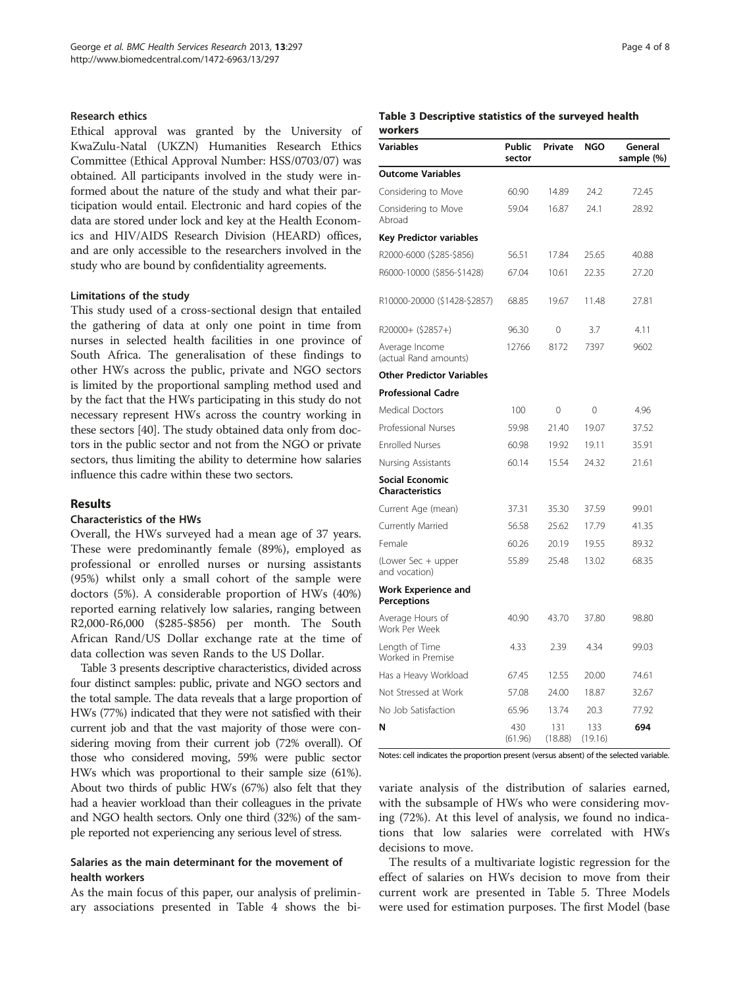#### Research ethics

Ethical approval was granted by the University of KwaZulu-Natal (UKZN) Humanities Research Ethics Committee (Ethical Approval Number: HSS/0703/07) was obtained. All participants involved in the study were informed about the nature of the study and what their participation would entail. Electronic and hard copies of the data are stored under lock and key at the Health Economics and HIV/AIDS Research Division (HEARD) offices, and are only accessible to the researchers involved in the study who are bound by confidentiality agreements.

#### Limitations of the study

This study used of a cross-sectional design that entailed the gathering of data at only one point in time from nurses in selected health facilities in one province of South Africa. The generalisation of these findings to other HWs across the public, private and NGO sectors is limited by the proportional sampling method used and by the fact that the HWs participating in this study do not necessary represent HWs across the country working in these sectors [[40](#page-7-0)]. The study obtained data only from doctors in the public sector and not from the NGO or private sectors, thus limiting the ability to determine how salaries influence this cadre within these two sectors.

# Results

#### Characteristics of the HWs

Overall, the HWs surveyed had a mean age of 37 years. These were predominantly female (89%), employed as professional or enrolled nurses or nursing assistants (95%) whilst only a small cohort of the sample were doctors (5%). A considerable proportion of HWs (40%) reported earning relatively low salaries, ranging between R2,000-R6,000 (\$285-\$856) per month. The South African Rand/US Dollar exchange rate at the time of data collection was seven Rands to the US Dollar.

Table 3 presents descriptive characteristics, divided across four distinct samples: public, private and NGO sectors and the total sample. The data reveals that a large proportion of HWs (77%) indicated that they were not satisfied with their current job and that the vast majority of those were considering moving from their current job (72% overall). Of those who considered moving, 59% were public sector HWs which was proportional to their sample size (61%). About two thirds of public HWs (67%) also felt that they had a heavier workload than their colleagues in the private and NGO health sectors. Only one third (32%) of the sample reported not experiencing any serious level of stress.

# Salaries as the main determinant for the movement of health workers

As the main focus of this paper, our analysis of preliminary associations presented in Table [4](#page-4-0) shows the bi-

#### Table 3 Descriptive statistics of the surveyed health workers

| <b>Variables</b>                                 | Public<br>sector | Private        | NGO            | General<br>sample (%) |
|--------------------------------------------------|------------------|----------------|----------------|-----------------------|
| <b>Outcome Variables</b>                         |                  |                |                |                       |
| Considering to Move                              | 60.90            | 14.89          | 24.2           | 72.45                 |
| Considering to Move<br>Abroad                    | 59.04            | 16.87          | 24.1           | 28.92                 |
| Key Predictor variables                          |                  |                |                |                       |
| R2000-6000 (\$285-\$856)                         | 56.51            | 17.84          | 25.65          | 40.88                 |
| R6000-10000 (\$856-\$1428)                       | 67.04            | 10.61          | 22.35          | 27.20                 |
| R10000-20000 (\$1428-\$2857)                     | 68.85            | 19.67          | 11.48          | 27.81                 |
| R20000+ (\$2857+)                                | 96.30            | 0              | 3.7            | 4.11                  |
| Average Income<br>(actual Rand amounts)          | 12766            | 8172           | 7397           | 9602                  |
| <b>Other Predictor Variables</b>                 |                  |                |                |                       |
| <b>Professional Cadre</b>                        |                  |                |                |                       |
| Medical Doctors                                  | 100              | 0              | 0              | 4.96                  |
| Professional Nurses                              | 59.98            | 21.40          | 19.07          | 37.52                 |
| <b>Enrolled Nurses</b>                           | 60.98            | 19.92          | 19.11          | 35.91                 |
| Nursing Assistants                               | 60.14            | 15.54          | 24.32          | 21.61                 |
| <b>Social Economic</b><br><b>Characteristics</b> |                  |                |                |                       |
| Current Age (mean)                               | 37.31            | 35.30          | 37.59          | 99.01                 |
| Currently Married                                | 56.58            | 25.62          | 17.79          | 41.35                 |
| Female                                           | 60.26            | 20.19          | 19.55          | 89.32                 |
| (Lower Sec + upper<br>and vocation)              | 55.89            | 25.48          | 13.02          | 68.35                 |
| <b>Work Experience and</b><br>Perceptions        |                  |                |                |                       |
| Average Hours of<br>Work Per Week                | 40.90            | 43.70          | 37.80          | 98.80                 |
| Length of Time<br>Worked in Premise              | 4.33             | 2.39           | 4.34           | 99.03                 |
| Has a Heavy Workload                             | 67.45            | 12.55          | 20.00          | 74.61                 |
| Not Stressed at Work                             | 57.08            | 24.00          | 18.87          | 32.67                 |
| No Job Satisfaction                              | 65.96            | 13.74          | 20.3           | 77.92                 |
| N                                                | 430<br>(61.96)   | 131<br>(18.88) | 133<br>(19.16) | 694                   |

Notes: cell indicates the proportion present (versus absent) of the selected variable.

variate analysis of the distribution of salaries earned, with the subsample of HWs who were considering moving (72%). At this level of analysis, we found no indications that low salaries were correlated with HWs decisions to move.

The results of a multivariate logistic regression for the effect of salaries on HWs decision to move from their current work are presented in Table [5](#page-4-0). Three Models were used for estimation purposes. The first Model (base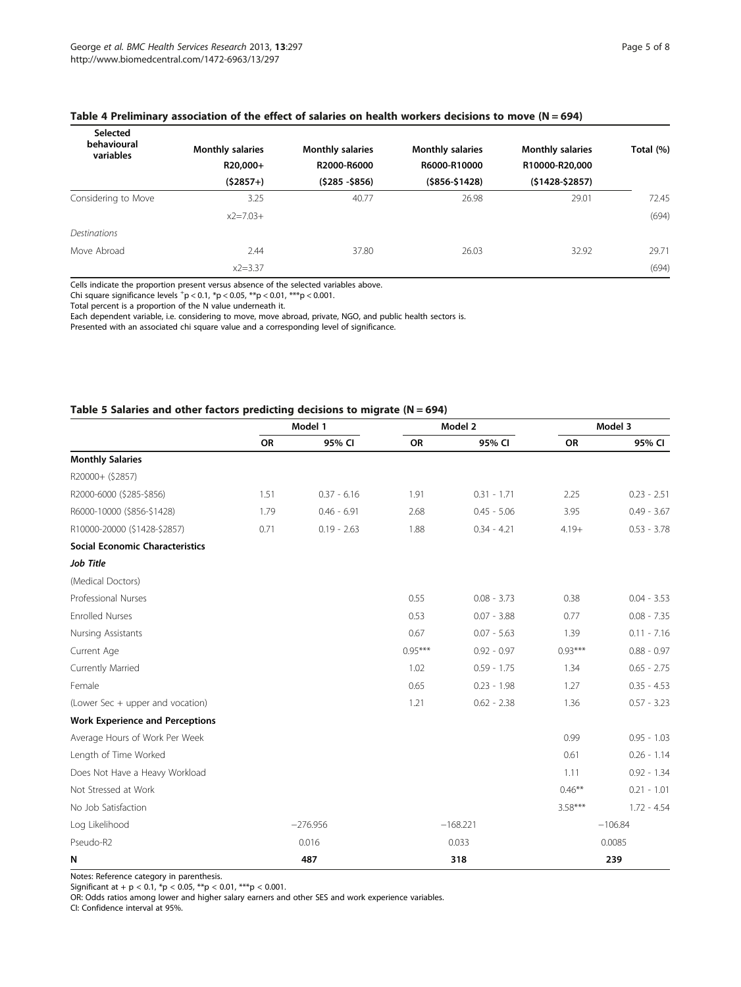| Selected<br>behavioural<br>variables | <b>Monthly salaries</b><br>R20,000+ | <b>Monthly salaries</b><br>R2000-R6000 | <b>Monthly salaries</b><br>R6000-R10000 | <b>Monthly salaries</b><br>R10000-R20,000 | Total (%) |
|--------------------------------------|-------------------------------------|----------------------------------------|-----------------------------------------|-------------------------------------------|-----------|
|                                      | $(52857+)$                          | $(5285 - 5856)$                        | $( $856 - $1428)$                       | $(51428 - 52857)$                         |           |
| Considering to Move                  | 3.25                                | 40.77                                  | 26.98                                   | 29.01                                     | 72.45     |
|                                      | $x^2 = 7.03 +$                      |                                        |                                         |                                           | (694)     |
| <b>Destinations</b>                  |                                     |                                        |                                         |                                           |           |
| Move Abroad                          | 2.44                                | 37.80                                  | 26.03                                   | 32.92                                     | 29.71     |
|                                      | $x2 = 3.37$                         |                                        |                                         |                                           | (694)     |

### <span id="page-4-0"></span>Table 4 Preliminary association of the effect of salaries on health workers decisions to move  $(N = 694)$

Cells indicate the proportion present versus absence of the selected variables above.

Chi square significance levels  $^{+}p < 0.1$ ,  $^{*}p < 0.05$ ,  $^{**}p < 0.01$ ,  $^{***}p < 0.001$ .

Total percent is a proportion of the N value underneath it.

Each dependent variable, i.e. considering to move, move abroad, private, NGO, and public health sectors is.

Presented with an associated chi square value and a corresponding level of significance.

# Table 5 Salaries and other factors predicting decisions to migrate (N = 694)

|                                        | Model 1   |                          |           | Model 2       |           | Model 3       |  |
|----------------------------------------|-----------|--------------------------|-----------|---------------|-----------|---------------|--|
|                                        | <b>OR</b> | 95% CI                   | <b>OR</b> | 95% CI        | <b>OR</b> | 95% CI        |  |
| <b>Monthly Salaries</b>                |           |                          |           |               |           |               |  |
| R20000+ (\$2857)                       |           |                          |           |               |           |               |  |
| R2000-6000 (\$285-\$856)               | 1.51      | $0.37 - 6.16$            | 1.91      | $0.31 - 1.71$ | 2.25      | $0.23 - 2.51$ |  |
| R6000-10000 (\$856-\$1428)             | 1.79      | $0.46 - 6.91$            | 2.68      | $0.45 - 5.06$ | 3.95      | $0.49 - 3.67$ |  |
| R10000-20000 (\$1428-\$2857)           | 0.71      | $0.19 - 2.63$            | 1.88      | $0.34 - 4.21$ | $4.19+$   | $0.53 - 3.78$ |  |
| <b>Social Economic Characteristics</b> |           |                          |           |               |           |               |  |
| Job Title                              |           |                          |           |               |           |               |  |
| (Medical Doctors)                      |           |                          |           |               |           |               |  |
| Professional Nurses                    |           |                          | 0.55      | $0.08 - 3.73$ | 0.38      | $0.04 - 3.53$ |  |
| <b>Enrolled Nurses</b>                 |           |                          | 0.53      | $0.07 - 3.88$ | 0.77      | $0.08 - 7.35$ |  |
| Nursing Assistants                     |           |                          | 0.67      | $0.07 - 5.63$ | 1.39      | $0.11 - 7.16$ |  |
| Current Age                            |           |                          | $0.95***$ | $0.92 - 0.97$ | $0.93***$ | $0.88 - 0.97$ |  |
| Currently Married                      |           |                          | 1.02      | $0.59 - 1.75$ | 1.34      | $0.65 - 2.75$ |  |
| Female                                 |           |                          | 0.65      | $0.23 - 1.98$ | 1.27      | $0.35 - 4.53$ |  |
| (Lower Sec + upper and vocation)       |           |                          | 1.21      | $0.62 - 2.38$ | 1.36      | $0.57 - 3.23$ |  |
| <b>Work Experience and Perceptions</b> |           |                          |           |               |           |               |  |
| Average Hours of Work Per Week         |           |                          |           |               | 0.99      | $0.95 - 1.03$ |  |
| Length of Time Worked                  |           |                          |           |               | 0.61      | $0.26 - 1.14$ |  |
| Does Not Have a Heavy Workload         |           |                          |           |               | 1.11      | $0.92 - 1.34$ |  |
| Not Stressed at Work                   |           |                          |           |               | $0.46***$ | $0.21 - 1.01$ |  |
| No Job Satisfaction                    |           |                          |           |               | $3.58***$ | $1.72 - 4.54$ |  |
| Log Likelihood                         |           | $-276.956$<br>$-168.221$ |           |               |           | $-106.84$     |  |
| Pseudo-R2                              |           | 0.016                    |           | 0.033         |           | 0.0085        |  |
| N                                      |           | 487<br>318               |           |               |           | 239           |  |

Notes: Reference category in parenthesis.

Significant at + p < 0.1,  $*p < 0.05$ ,  $**p < 0.01$ ,  $***p < 0.001$ .

OR: Odds ratios among lower and higher salary earners and other SES and work experience variables. CI: Confidence interval at 95%.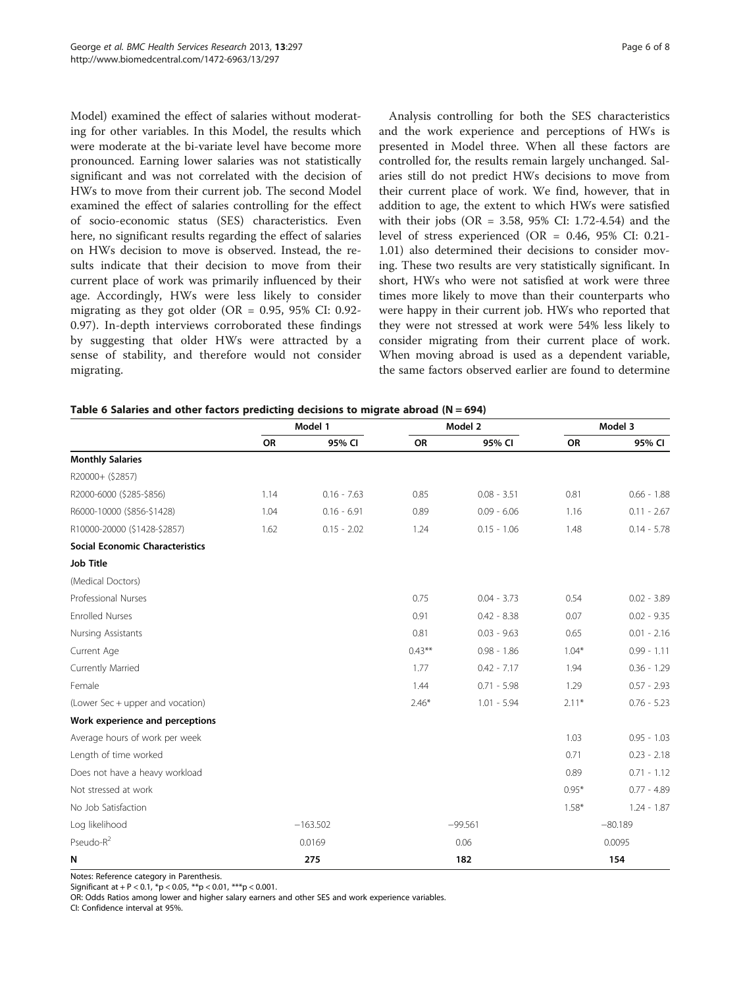<span id="page-5-0"></span>Model) examined the effect of salaries without moderating for other variables. In this Model, the results which were moderate at the bi-variate level have become more pronounced. Earning lower salaries was not statistically significant and was not correlated with the decision of HWs to move from their current job. The second Model examined the effect of salaries controlling for the effect of socio-economic status (SES) characteristics. Even here, no significant results regarding the effect of salaries on HWs decision to move is observed. Instead, the results indicate that their decision to move from their current place of work was primarily influenced by their age. Accordingly, HWs were less likely to consider migrating as they got older (OR =  $0.95$ , 95% CI: 0.92-0.97). In-depth interviews corroborated these findings by suggesting that older HWs were attracted by a sense of stability, and therefore would not consider migrating.

Analysis controlling for both the SES characteristics and the work experience and perceptions of HWs is presented in Model three. When all these factors are controlled for, the results remain largely unchanged. Salaries still do not predict HWs decisions to move from their current place of work. We find, however, that in addition to age, the extent to which HWs were satisfied with their jobs (OR = 3.58, 95% CI: 1.72-4.54) and the level of stress experienced (OR = 0.46, 95% CI: 0.21- 1.01) also determined their decisions to consider moving. These two results are very statistically significant. In short, HWs who were not satisfied at work were three times more likely to move than their counterparts who were happy in their current job. HWs who reported that they were not stressed at work were 54% less likely to consider migrating from their current place of work. When moving abroad is used as a dependent variable, the same factors observed earlier are found to determine

| Table 6 Salaries and other factors predicting decisions to migrate abroad (N = 694) |  |  |  |
|-------------------------------------------------------------------------------------|--|--|--|
|-------------------------------------------------------------------------------------|--|--|--|

|                                        | Model 1 |                         |           | Model 2       |         | Model 3       |  |
|----------------------------------------|---------|-------------------------|-----------|---------------|---------|---------------|--|
|                                        | OR      | 95% CI                  | OR        | 95% CI        | OR      | 95% CI        |  |
| <b>Monthly Salaries</b>                |         |                         |           |               |         |               |  |
| R20000+ (\$2857)                       |         |                         |           |               |         |               |  |
| R2000-6000 (\$285-\$856)               | 1.14    | $0.16 - 7.63$           | 0.85      | $0.08 - 3.51$ | 0.81    | $0.66 - 1.88$ |  |
| R6000-10000 (\$856-\$1428)             | 1.04    | $0.16 - 6.91$           | 0.89      | $0.09 - 6.06$ | 1.16    | $0.11 - 2.67$ |  |
| R10000-20000 (\$1428-\$2857)           | 1.62    | $0.15 - 2.02$           | 1.24      | $0.15 - 1.06$ | 1.48    | $0.14 - 5.78$ |  |
| <b>Social Economic Characteristics</b> |         |                         |           |               |         |               |  |
| <b>Job Title</b>                       |         |                         |           |               |         |               |  |
| (Medical Doctors)                      |         |                         |           |               |         |               |  |
| Professional Nurses                    |         |                         | 0.75      | $0.04 - 3.73$ | 0.54    | $0.02 - 3.89$ |  |
| <b>Enrolled Nurses</b>                 |         |                         | 0.91      | $0.42 - 8.38$ | 0.07    | $0.02 - 9.35$ |  |
| Nursing Assistants                     |         |                         | 0.81      | $0.03 - 9.63$ | 0.65    | $0.01 - 2.16$ |  |
| Current Age                            |         |                         | $0.43***$ | $0.98 - 1.86$ | $1.04*$ | $0.99 - 1.11$ |  |
| Currently Married                      |         |                         | 1.77      | $0.42 - 7.17$ | 1.94    | $0.36 - 1.29$ |  |
| Female                                 |         |                         | 1.44      | $0.71 - 5.98$ | 1.29    | $0.57 - 2.93$ |  |
| (Lower Sec + upper and vocation)       |         |                         | $2.46*$   | $1.01 - 5.94$ | $2.11*$ | $0.76 - 5.23$ |  |
| Work experience and perceptions        |         |                         |           |               |         |               |  |
| Average hours of work per week         |         |                         |           |               | 1.03    | $0.95 - 1.03$ |  |
| Length of time worked                  |         |                         |           |               | 0.71    | $0.23 - 2.18$ |  |
| Does not have a heavy workload         |         |                         |           |               | 0.89    | $0.71 - 1.12$ |  |
| Not stressed at work                   |         |                         |           |               | $0.95*$ | $0.77 - 4.89$ |  |
| No Job Satisfaction                    |         |                         |           |               | $1.58*$ | $1.24 - 1.87$ |  |
| Log likelihood                         |         | $-163.502$<br>$-99.561$ |           | $-80.189$     |         |               |  |
| Pseudo-R <sup>2</sup>                  |         | 0.0169                  |           | 0.06          |         | 0.0095        |  |
| N                                      |         | 275                     |           | 182           |         | 154           |  |

Notes: Reference category in Parenthesis.

Significant at + P < 0.1,  $^{*}p$  < 0.05,  $^{**}p$  < 0.01,  $^{***}p$  < 0.001.

OR: Odds Ratios among lower and higher salary earners and other SES and work experience variables. CI: Confidence interval at 95%.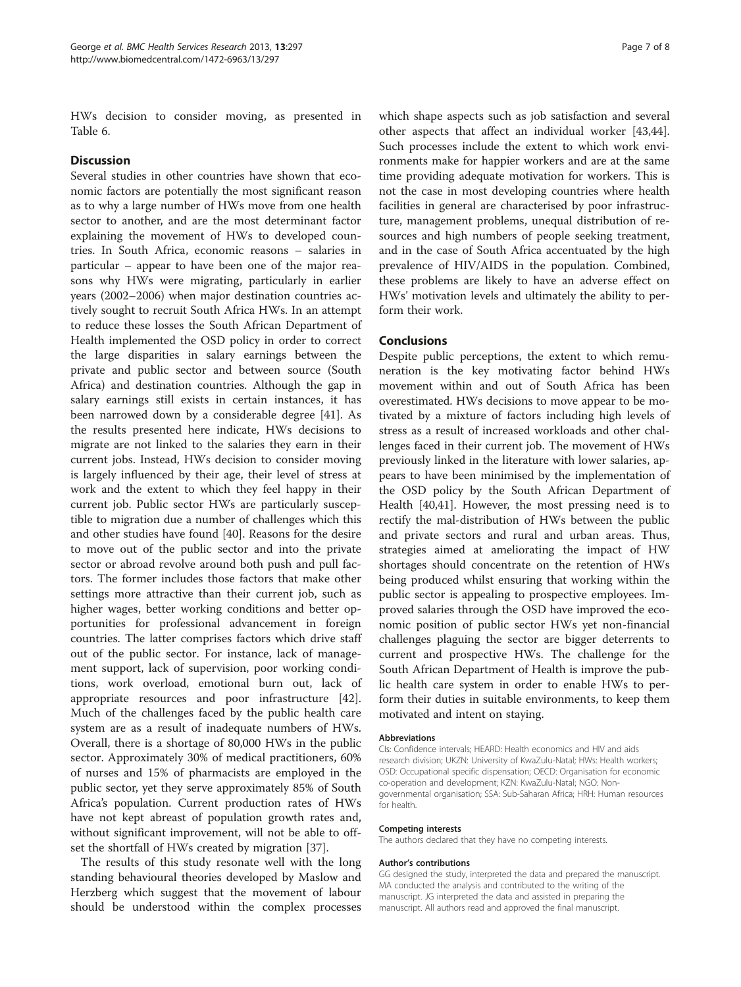HWs decision to consider moving, as presented in Table [6.](#page-5-0)

### **Discussion**

Several studies in other countries have shown that economic factors are potentially the most significant reason as to why a large number of HWs move from one health sector to another, and are the most determinant factor explaining the movement of HWs to developed countries. In South Africa, economic reasons – salaries in particular – appear to have been one of the major reasons why HWs were migrating, particularly in earlier years (2002–2006) when major destination countries actively sought to recruit South Africa HWs. In an attempt to reduce these losses the South African Department of Health implemented the OSD policy in order to correct the large disparities in salary earnings between the private and public sector and between source (South Africa) and destination countries. Although the gap in salary earnings still exists in certain instances, it has been narrowed down by a considerable degree [[41](#page-7-0)]. As the results presented here indicate, HWs decisions to migrate are not linked to the salaries they earn in their current jobs. Instead, HWs decision to consider moving is largely influenced by their age, their level of stress at work and the extent to which they feel happy in their current job. Public sector HWs are particularly susceptible to migration due a number of challenges which this and other studies have found [[40\]](#page-7-0). Reasons for the desire to move out of the public sector and into the private sector or abroad revolve around both push and pull factors. The former includes those factors that make other settings more attractive than their current job, such as higher wages, better working conditions and better opportunities for professional advancement in foreign countries. The latter comprises factors which drive staff out of the public sector. For instance, lack of management support, lack of supervision, poor working conditions, work overload, emotional burn out, lack of appropriate resources and poor infrastructure [\[42](#page-7-0)]. Much of the challenges faced by the public health care system are as a result of inadequate numbers of HWs. Overall, there is a shortage of 80,000 HWs in the public sector. Approximately 30% of medical practitioners, 60% of nurses and 15% of pharmacists are employed in the public sector, yet they serve approximately 85% of South Africa's population. Current production rates of HWs have not kept abreast of population growth rates and, without significant improvement, will not be able to offset the shortfall of HWs created by migration [\[37](#page-7-0)].

The results of this study resonate well with the long standing behavioural theories developed by Maslow and Herzberg which suggest that the movement of labour should be understood within the complex processes

which shape aspects such as job satisfaction and several other aspects that affect an individual worker [\[43,44](#page-7-0)]. Such processes include the extent to which work environments make for happier workers and are at the same time providing adequate motivation for workers. This is not the case in most developing countries where health facilities in general are characterised by poor infrastructure, management problems, unequal distribution of resources and high numbers of people seeking treatment, and in the case of South Africa accentuated by the high prevalence of HIV/AIDS in the population. Combined, these problems are likely to have an adverse effect on HWs' motivation levels and ultimately the ability to perform their work.

#### Conclusions

Despite public perceptions, the extent to which remuneration is the key motivating factor behind HWs movement within and out of South Africa has been overestimated. HWs decisions to move appear to be motivated by a mixture of factors including high levels of stress as a result of increased workloads and other challenges faced in their current job. The movement of HWs previously linked in the literature with lower salaries, appears to have been minimised by the implementation of the OSD policy by the South African Department of Health [[40,41\]](#page-7-0). However, the most pressing need is to rectify the mal-distribution of HWs between the public and private sectors and rural and urban areas. Thus, strategies aimed at ameliorating the impact of HW shortages should concentrate on the retention of HWs being produced whilst ensuring that working within the public sector is appealing to prospective employees. Improved salaries through the OSD have improved the economic position of public sector HWs yet non-financial challenges plaguing the sector are bigger deterrents to current and prospective HWs. The challenge for the South African Department of Health is improve the public health care system in order to enable HWs to perform their duties in suitable environments, to keep them motivated and intent on staying.

#### Abbreviations

CIs: Confidence intervals; HEARD: Health economics and HIV and aids research division; UKZN: University of KwaZulu-Natal; HWs: Health workers; OSD: Occupational specific dispensation; OECD: Organisation for economic co-operation and development; KZN: KwaZulu-Natal; NGO: Nongovernmental organisation; SSA: Sub-Saharan Africa; HRH: Human resources for health.

#### Competing interests

The authors declared that they have no competing interests.

#### Author's contributions

GG designed the study, interpreted the data and prepared the manuscript. MA conducted the analysis and contributed to the writing of the manuscript. JG interpreted the data and assisted in preparing the manuscript. All authors read and approved the final manuscript.